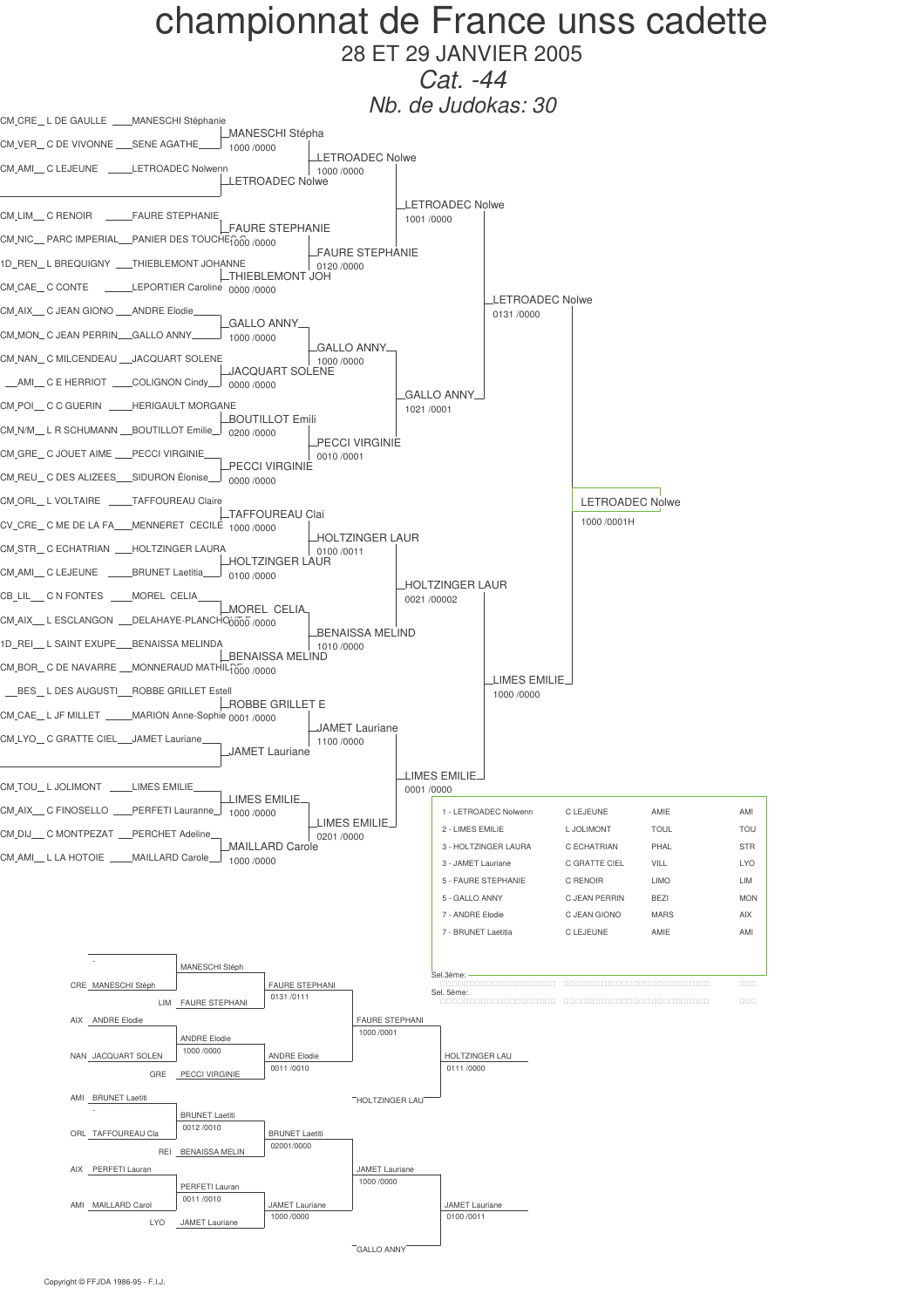

28 ET 29 JANVIER 2005  $Cat. -44$ 

Nb. de Judokas: 30

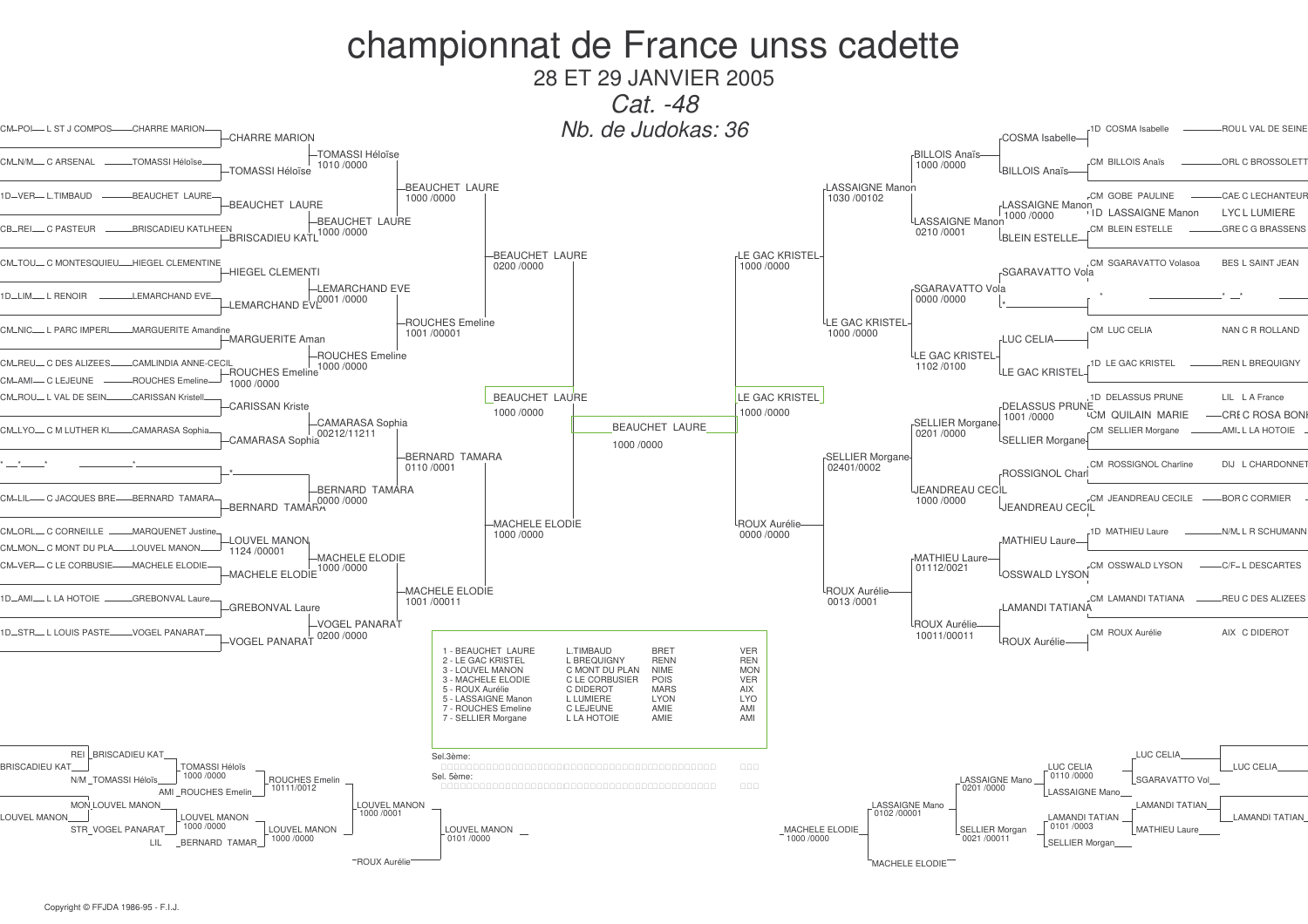## championnat de France unss cadette 28 ET 29 JANVIER 2005 Cat. -48 Nb. de Judokas: 36 -1D COSMA Isabelle CM-POI-L ST J COMPOS--CHARRE MARION **ROUL VAL DE SEINE** CHARRE MARION cosma Isabelle -TOMASSI Héloïse **BILLOIS Anaïs** TOMASSI Héloïse  $CM$   $DII$   $DIB$  Angle ORL C BROSSOLET  $CM$  N/M C ADCENAL 1010/0000 1000 /0000 RII I OIS Anaïs TOMASSI Héloïse **LASSAIGNE Manon** -BEAUCHET LAURE **REAUCHET LAURE** CM GORE PAULINE CAE CI ECHANTELIE 1D-VER-LTIMBAUD 1030 / 00102 1000/0000 LASSAIGNE Manon -BEAUCHET LAURE LID I ASSAIGNE Manon  $-$ I YC L LUMIERE 1000 /0000 -BEAUCHET LAURE LASSAIGNE Manon CR\_REL\_C PASTEUR **RRISCADIELI KATI HEEN** -BRISCADIEU KATL<sup>1000</sup>/0000 CM BLEIN ESTELLE GRE C G BRASSENS 0210/0001 **LRI FIN ESTELLE** -BEAUCHET LAURE **LE GAC KRISTEL** HIEGEL CLEMENTINE CM\_TOLL\_C MONTESOLIEL 0200 /0000 1000 /0000 -HIEGEL CLEMENTI SGARAVATTO Vola -LEMARCHAND EVE **SGARAVATTO Vola** 1D-LIM-L RENOIR LEMARCHAND EVE I FMARCHAND FVP<sup>0001</sup>/0000  $0000 / 0000$ LE GAC KRISTEL **ROUCHES Emeline** CM\_NIC\_\_ L PARC IMPER MARGUERITE Amandine CM LUC CELIA NAN C R ROLLAND 1001/00001  $1000/0000$ --<br>-- MARGUERITE Aman **LUC CELIA** LE GAC KRISTEL -ROUCHES Emeline CM RELL C DES ALIZER CAMI INDIA ANNE-CECIL 1D LE GAC KRISTEI **REN L BREQUIGNY** 1000 /0000  $1102/0100$ **HROUCHES** Emeline LE GAC KRISTEI CM AMI CIEIFUNE **ROUCHES Emeline** 1000/0000 CARISSAN Kriste **BEAUCHET LAURE** LE GAC KRISTEL -1D DELASSUS PRUNE CM-ROU-L VAL DE SEI **CARISSAN Kriste** DELASSUS PRUNE 1000/0000 1000 /0000 1001/0000 **CM QUILAIN MARIE** CRI C ROSA BON -CAMARASA Sophia **SELLIER Morgane BEAUCHET LAURE** CAMARASA |<br>CAMARASA Sophia CM-LYO-C M LUTHER K -CAMARASA Soph CM SELLIER Morgane **AMI. L LA HOTOIE** 0201/0000 SELLIER Morgano 1000/0000 **SELLIER Morgane** -BERNARD TAMARA CM ROSSIGNOL Ch DLL L CHARDONN 0110/0001 02401/0002 ROSSIGNOL Cha -BERNARD TAMARA **UEANDREAU CECIL** BERNARD TAMARA CM-LIL-- C JACQUES BRE-BERNARD TAMARA -CM JEANDREAU CECILE BOR C CORMIER 1000/0000 **LJEANDREAU CECIL MACHELE ELODIE** LROUX Aurélie CM\_ORI C CORNEILLE -MARQUENET Justin  $1000/0000$  $0000 / 0000$ 1D MATHIFILL aure N/M. I R SCHUMANN **MATHIEU Laure LOUVEL MANON** CM\_MON\_ C MONT DLLPLA I OLIVEL MANC 1124/00001 -MACHELE ELODIE MATHIEU Laure-MACHELE ELODIE **CM OSSWALD LYSON** -C/F-LDESCARTES CM VER CLE CORRUSIE  $1000/0000$  $01112/0021$ MACHELE ELODIE OSSWALD LYSON **MACHELE ELODIE** <sup>L</sup>ROUX Aurélie 1D-AMI-LLA HOTOIE--GREBONVAL Laure -CM LAMANDI TATIANA REU C DES ALIZEES  $1001/00011$  $0013/0001$ **GREBONVAL Laure LAMANDI TATIANA** -VOGEL PANARAT **ROUX Aurélie ID STR** I LOUIS PASTE VOGEL PANARAT CM ROUX Aurélie AIX - C DIDEROT  $0200/0000$ 10011/00011 **VOGEL PANARAT ROUX Aurélie** 1 - BEAUCHET LAURE L.TIMBAUD **BRET VER** L BREQUIGNY 2 - LE GAC KRISTEL **RENN REN** 3 - LOUVEL MANON C MONT DU PLAN **NIMF MON** 3 - MACHELE ELODIE C LE CORBUSIER **POIS** VER 5 - ROUX Aurélie C DIDEROT MARS AIX 5 - LASSAIGNE Manon L LUMIERE LYON **LYO** ROUCHES Emeline C LEJEUNE AMIE AMI 7 - SELLIER Morgane L LA HOTOIE AMIE AMI REI BRISCADIEU KAT LUC CELIA Sel.3ème TOMASSI Héloïs **BRISCADIEU KAT** LUC CELIA LUC CELL 1000 /0000  $-0110/0000$ Sel, 5ème: ROUCHES Emelin N/M TOMASSI Héloïs **LASSAIGNE Mano** SGARAVATTO Vol 10111/0012 0201/0000 AMI ROUCHES Emelin **LASSAIGNE Mano** LOUVEL MANON LASSAIGNE Mano MON LOUVEL MANON **LAMANDI TATIAN**  $1000/0001$  $0102/00001$ **LOUVEL MANON LOUVEL MANON LAMANDI TATIAN LAMANDI TATIAN** 1000 /0000 0101/0003 LOUVEL MANON STR\_VOGEL PANARAT\_ LOUVEL MANON MACHELE ELODIE SELLIER Morgan MATHIEU Laure  $1000 / 0000$ 1000/0000 0101/0000 0021 /00011 **SELLIER Morgar LIL BERNARD TAMAR ROUX Aurélie** MACHELE ELODIE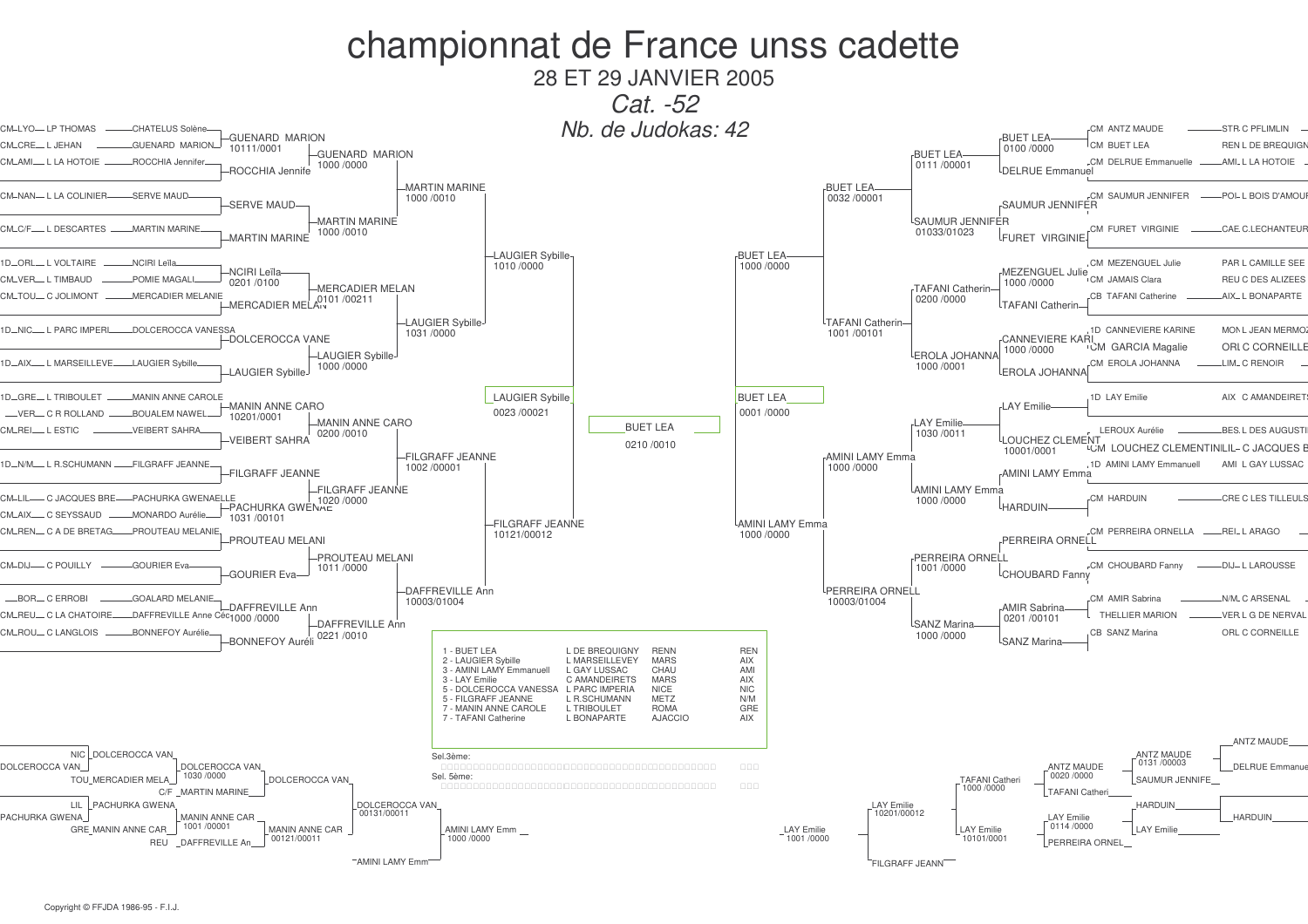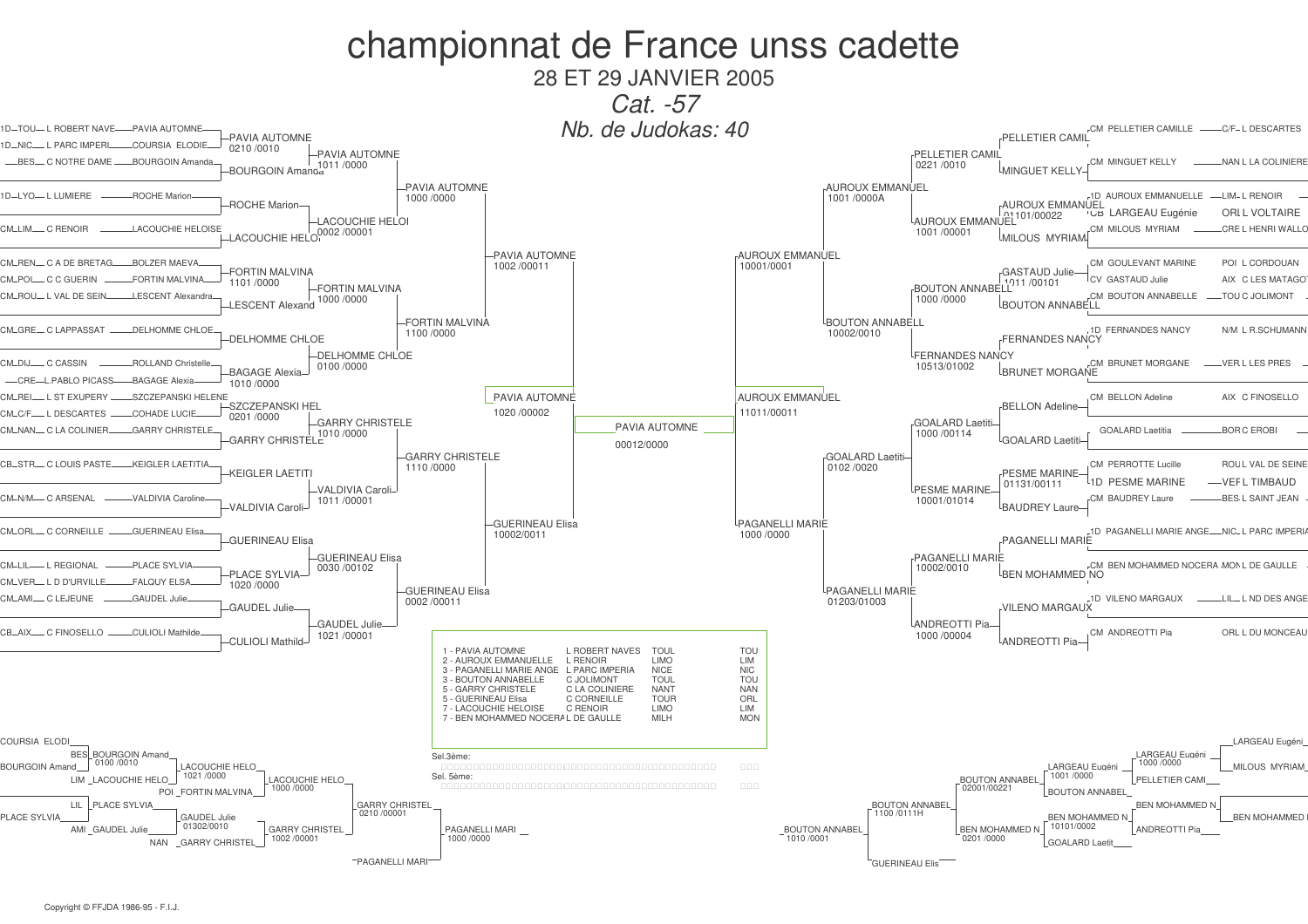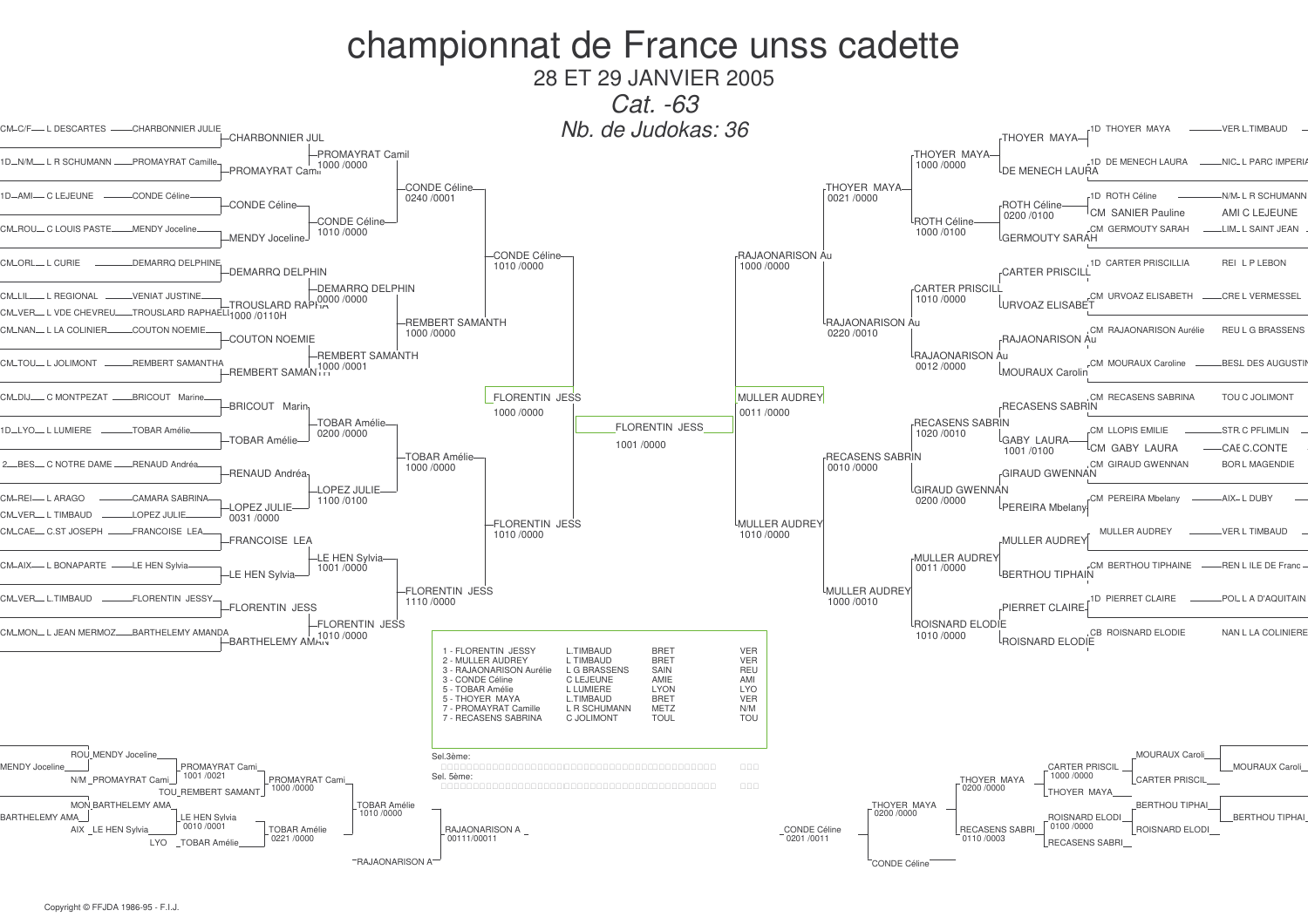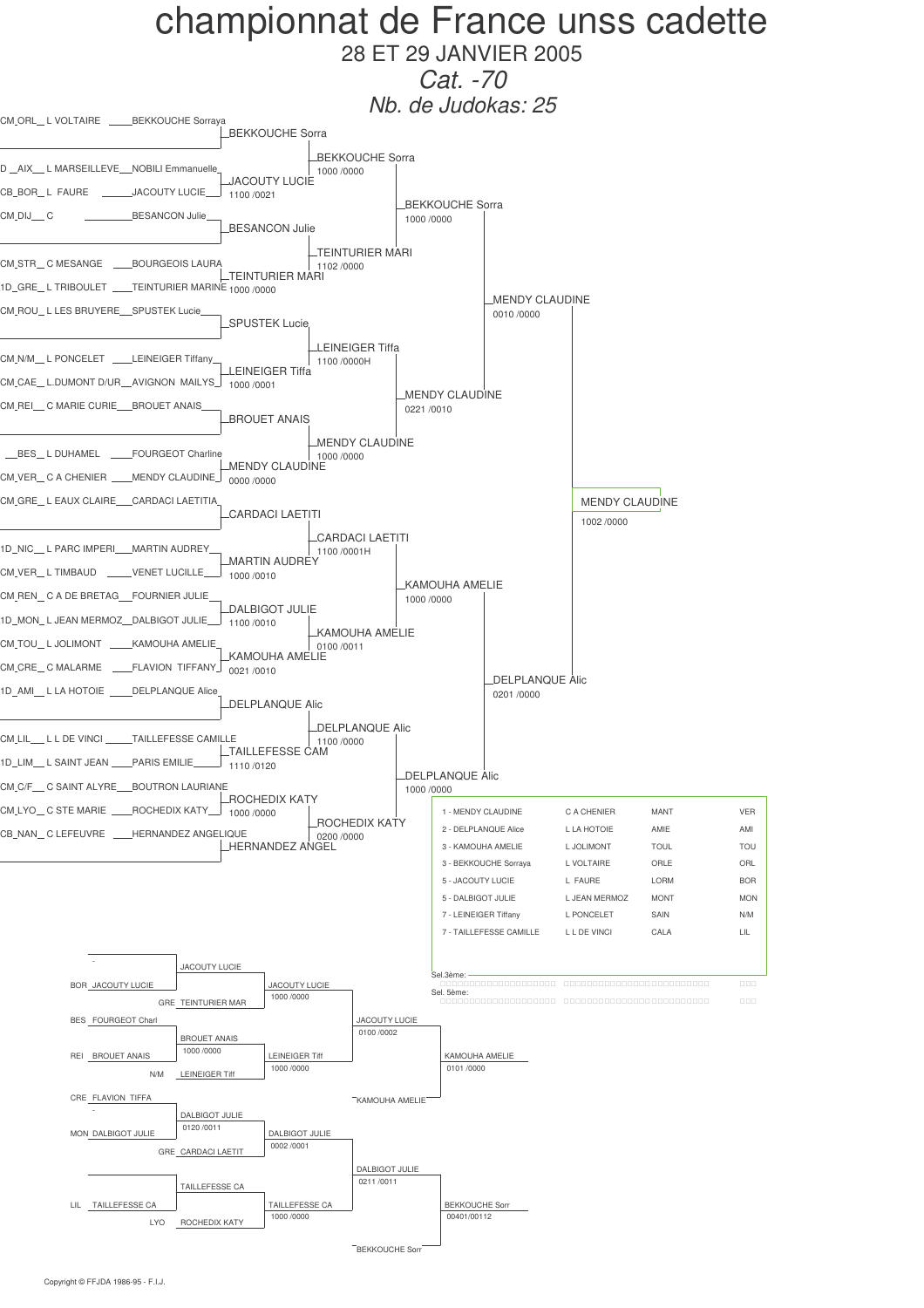